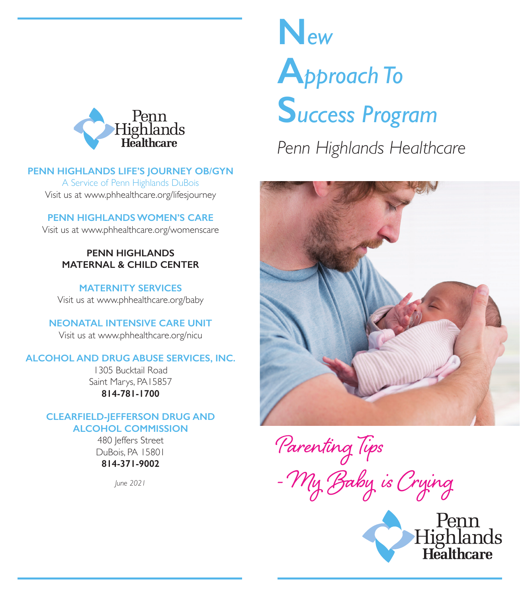

#### **PENN HIGHLANDS LIFE'S JOURNEY OB/GYN**

A Service of Penn Highlands DuBois Visit us at www.phhealthcare.org/lifesjourney

**PENN HIGHLANDS WOMEN'S CARE**

Visit us at www.phhealthcare.org/womenscare

### **PENN HIGHLANDS MATERNAL & CHILD CENTER**

**MATERNITY SERVICES** Visit us at www.phhealthcare.org/baby

**NEONATAL INTENSIVE CARE UNIT**

Visit us at www.phhealthcare.org/nicu

#### **ALCOHOL AND DRUG ABUSE SERVICES, INC.**

1305 Bucktail Road Saint Marys, PA15857 **814-781-1700**

#### **CLEARFIELD-JEFFERSON DRUG AND ALCOHOL COMMISSION**

480 leffers Street DuBois, PA 15801 **814-371-9002**

*June 2021*

# **N***ew* **A***pproach To* **S***uccess Program Penn Highlands Healthcare*



Parenting Tips - My Baby is Crying